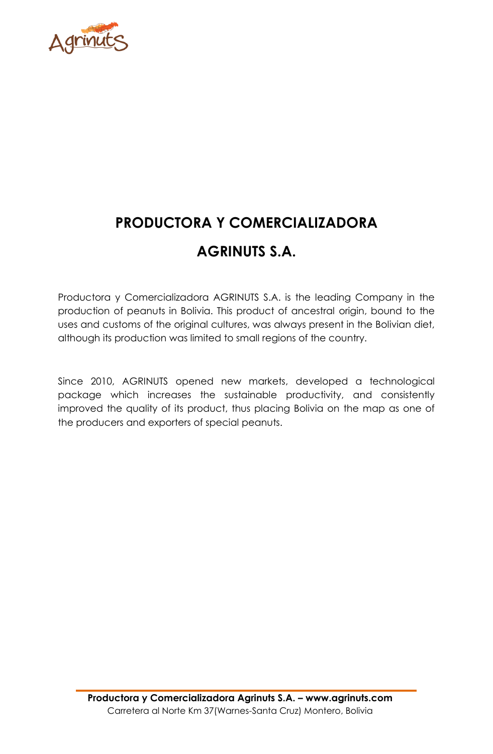

# **PRODUCTORA Y COMERCIALIZADORA AGRINUTS S.A.**

Productora y Comercializadora AGRINUTS S.A. is the leading Company in the production of peanuts in Bolivia. This product of ancestral origin, bound to the uses and customs of the original cultures, was always present in the Bolivian diet, although its production was limited to small regions of the country.

Since 2010, AGRINUTS opened new markets, developed a technological package which increases the sustainable productivity, and consistently improved the quality of its product, thus placing Bolivia on the map as one of the producers and exporters of special peanuts.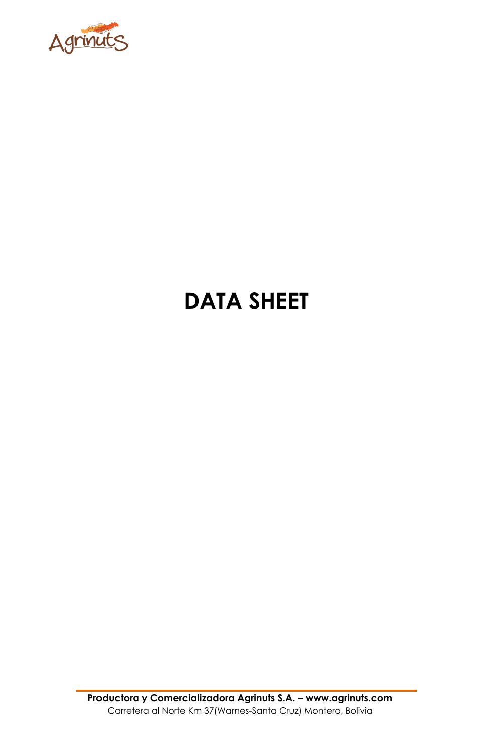

# **DATA SHEET**

**Productora y Comercializadora Agrinuts S.A. – www.agrinuts.com** Carretera al Norte Km 37(Warnes-Santa Cruz) Montero, Bolivia